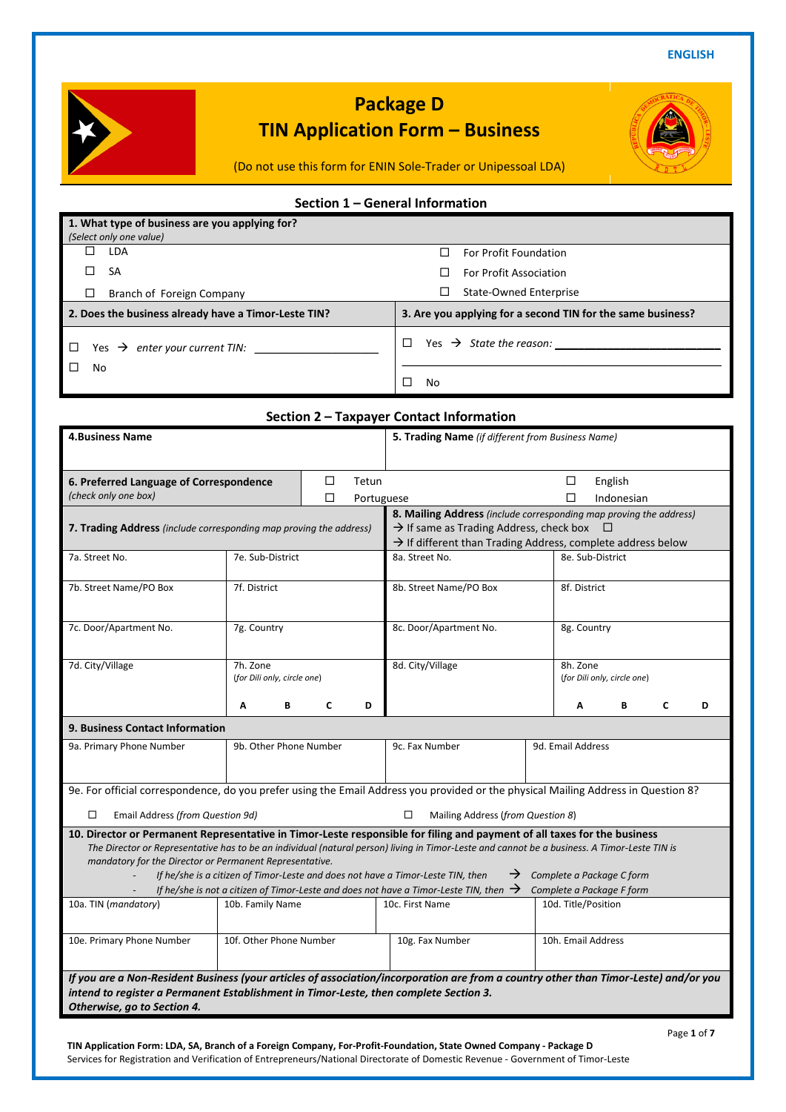**ENGLISH**



# **Package D TIN Application Form - Business**

(Do not use this form for ENIN Sole-Trader or Unipessoal LDA)

| Section 1 - General Information                      |                                                             |  |  |  |  |
|------------------------------------------------------|-------------------------------------------------------------|--|--|--|--|
| 1. What type of business are you applying for?       |                                                             |  |  |  |  |
| (Select only one value)                              |                                                             |  |  |  |  |
| LDA                                                  | For Profit Foundation                                       |  |  |  |  |
| <b>SA</b>                                            | For Profit Association                                      |  |  |  |  |
| Branch of Foreign Company<br>□                       | State-Owned Enterprise                                      |  |  |  |  |
| 2. Does the business already have a Timor-Leste TIN? | 3. Are you applying for a second TIN for the same business? |  |  |  |  |
| □<br>Yes $\rightarrow$ enter your current TIN:       | Yes $\rightarrow$ State the reason:<br>□                    |  |  |  |  |
| No                                                   |                                                             |  |  |  |  |
|                                                      | No                                                          |  |  |  |  |

| Section 2 - Taxpayer Contact Information                                                                                                                                                                                                                                                                                                                                                                                                                                                                                                                                                   |                                         |        |                                                                                                                                                                                                             |                                                                                                                                    |  |  |  |  |
|--------------------------------------------------------------------------------------------------------------------------------------------------------------------------------------------------------------------------------------------------------------------------------------------------------------------------------------------------------------------------------------------------------------------------------------------------------------------------------------------------------------------------------------------------------------------------------------------|-----------------------------------------|--------|-------------------------------------------------------------------------------------------------------------------------------------------------------------------------------------------------------------|------------------------------------------------------------------------------------------------------------------------------------|--|--|--|--|
| <b>4.Business Name</b>                                                                                                                                                                                                                                                                                                                                                                                                                                                                                                                                                                     |                                         |        | 5. Trading Name (if different from Business Name)                                                                                                                                                           |                                                                                                                                    |  |  |  |  |
| □<br>Tetun<br>6. Preferred Language of Correspondence<br>(check only one box)<br>□                                                                                                                                                                                                                                                                                                                                                                                                                                                                                                         |                                         |        | Portuguese                                                                                                                                                                                                  | English<br>□<br>Indonesian<br>п                                                                                                    |  |  |  |  |
| <b>7. Trading Address</b> (include corresponding map proving the address)                                                                                                                                                                                                                                                                                                                                                                                                                                                                                                                  |                                         |        | 8. Mailing Address (include corresponding map proving the address)<br>$\rightarrow$ If same as Trading Address, check box $\Box$<br>$\rightarrow$ If different than Trading Address, complete address below |                                                                                                                                    |  |  |  |  |
| 7a. Street No.                                                                                                                                                                                                                                                                                                                                                                                                                                                                                                                                                                             | 7e. Sub-District                        |        | 8a. Street No.                                                                                                                                                                                              | 8e. Sub-District                                                                                                                   |  |  |  |  |
| 7b. Street Name/PO Box                                                                                                                                                                                                                                                                                                                                                                                                                                                                                                                                                                     | 7f. District                            |        | 8b. Street Name/PO Box                                                                                                                                                                                      | 8f. District                                                                                                                       |  |  |  |  |
| 7c. Door/Apartment No.                                                                                                                                                                                                                                                                                                                                                                                                                                                                                                                                                                     | 7g. Country                             |        | 8c. Door/Apartment No.                                                                                                                                                                                      | 8g. Country                                                                                                                        |  |  |  |  |
| 7d. City/Village                                                                                                                                                                                                                                                                                                                                                                                                                                                                                                                                                                           | 7h. Zone<br>(for Dili only, circle one) |        | 8d. City/Village                                                                                                                                                                                            | 8h. Zone<br>(for Dili only, circle one)                                                                                            |  |  |  |  |
|                                                                                                                                                                                                                                                                                                                                                                                                                                                                                                                                                                                            | A<br>В                                  | C<br>D |                                                                                                                                                                                                             | C<br>A<br>D<br>В                                                                                                                   |  |  |  |  |
| 9. Business Contact Information                                                                                                                                                                                                                                                                                                                                                                                                                                                                                                                                                            |                                         |        |                                                                                                                                                                                                             |                                                                                                                                    |  |  |  |  |
| 9a. Primary Phone Number                                                                                                                                                                                                                                                                                                                                                                                                                                                                                                                                                                   | 9b. Other Phone Number                  |        | 9c. Fax Number                                                                                                                                                                                              | 9d. Email Address                                                                                                                  |  |  |  |  |
|                                                                                                                                                                                                                                                                                                                                                                                                                                                                                                                                                                                            |                                         |        |                                                                                                                                                                                                             | 9e. For official correspondence, do you prefer using the Email Address you provided or the physical Mailing Address in Question 8? |  |  |  |  |
| □<br>Email Address (from Question 9d)                                                                                                                                                                                                                                                                                                                                                                                                                                                                                                                                                      |                                         |        | □<br>Mailing Address (from Question 8)                                                                                                                                                                      |                                                                                                                                    |  |  |  |  |
| 10. Director or Permanent Representative in Timor-Leste responsible for filing and payment of all taxes for the business<br>The Director or Representative has to be an individual (natural person) living in Timor-Leste and cannot be a business. A Timor-Leste TIN is<br>mandatory for the Director or Permanent Representative.<br>Complete a Package C form<br>If he/she is a citizen of Timor-Leste and does not have a Timor-Leste TIN, then<br>→<br>If he/she is not a citizen of Timor-Leste and does not have a Timor-Leste TIN, then $\rightarrow$<br>Complete a Package F form |                                         |        |                                                                                                                                                                                                             |                                                                                                                                    |  |  |  |  |
| 10a. TIN (mandatory)                                                                                                                                                                                                                                                                                                                                                                                                                                                                                                                                                                       | 10b. Family Name                        |        | 10c. First Name                                                                                                                                                                                             | 10d. Title/Position                                                                                                                |  |  |  |  |
| 10e. Primary Phone Number                                                                                                                                                                                                                                                                                                                                                                                                                                                                                                                                                                  | 10f. Other Phone Number                 |        | 10g. Fax Number                                                                                                                                                                                             | 10h. Email Address                                                                                                                 |  |  |  |  |
| If you are a Non-Resident Business (your articles of association/incorporation are from a country other than Timor-Leste) and/or you<br>intend to register a Permanent Establishment in Timor-Leste, then complete Section 3.<br>Otherwise, go to Section 4.                                                                                                                                                                                                                                                                                                                               |                                         |        |                                                                                                                                                                                                             |                                                                                                                                    |  |  |  |  |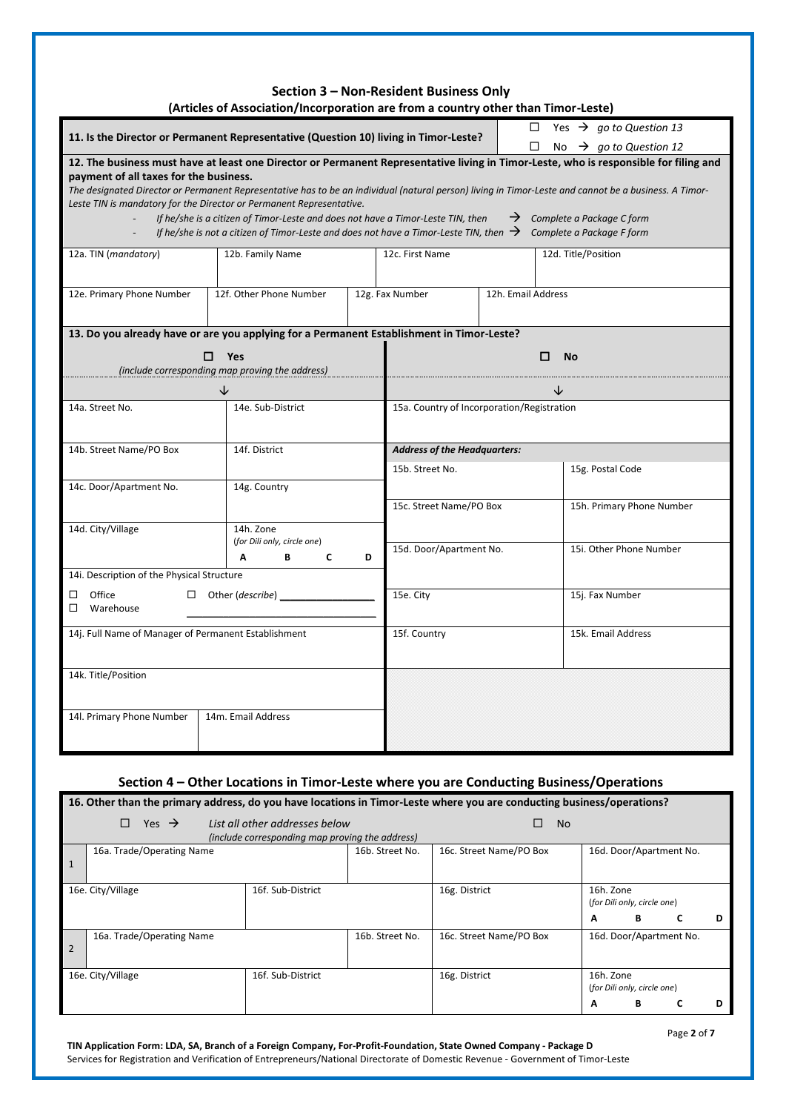|                                                                                                                | (Articles of Association/Incorporation are from a country other than Timor-Leste)                                                                                                                              |   | Section 3 - Non-Resident Business Only     |                    |                                                                                                                                                                                                                                                                                                                                           |
|----------------------------------------------------------------------------------------------------------------|----------------------------------------------------------------------------------------------------------------------------------------------------------------------------------------------------------------|---|--------------------------------------------|--------------------|-------------------------------------------------------------------------------------------------------------------------------------------------------------------------------------------------------------------------------------------------------------------------------------------------------------------------------------------|
|                                                                                                                | 11. Is the Director or Permanent Representative (Question 10) living in Timor-Leste?                                                                                                                           |   |                                            |                    | Yes $\rightarrow$ go to Question 13<br>No $\rightarrow$ go to Question 12                                                                                                                                                                                                                                                                 |
| payment of all taxes for the business.<br>Leste TIN is mandatory for the Director or Permanent Representative. | If he/she is a citizen of Timor-Leste and does not have a Timor-Leste TIN, then<br>If he/she is not a citizen of Timor-Leste and does not have a Timor-Leste TIN, then $\rightarrow$ Complete a Package F form |   |                                            |                    | 12. The business must have at least one Director or Permanent Representative living in Timor-Leste, who is responsible for filing and<br>The designated Director or Permanent Representative has to be an individual (natural person) living in Timor-Leste and cannot be a business. A Timor-<br>$\rightarrow$ Complete a Package C form |
| 12a. TIN (mandatory)                                                                                           | 12b. Family Name                                                                                                                                                                                               |   | 12c. First Name                            |                    | 12d. Title/Position                                                                                                                                                                                                                                                                                                                       |
| 12e. Primary Phone Number                                                                                      | 12f. Other Phone Number                                                                                                                                                                                        |   | 12g. Fax Number                            | 12h. Email Address |                                                                                                                                                                                                                                                                                                                                           |
| 13. Do you already have or are you applying for a Permanent Establishment in Timor-Leste?                      |                                                                                                                                                                                                                |   |                                            |                    |                                                                                                                                                                                                                                                                                                                                           |
| α.<br>Yes<br>(include corresponding map proving the address)                                                   |                                                                                                                                                                                                                |   | □<br><b>No</b>                             |                    |                                                                                                                                                                                                                                                                                                                                           |
|                                                                                                                | ↓                                                                                                                                                                                                              |   | ↓                                          |                    |                                                                                                                                                                                                                                                                                                                                           |
| 14a. Street No.                                                                                                | 14e. Sub-District                                                                                                                                                                                              |   | 15a. Country of Incorporation/Registration |                    |                                                                                                                                                                                                                                                                                                                                           |
| 14b. Street Name/PO Box                                                                                        | 14f. District                                                                                                                                                                                                  |   | <b>Address of the Headquarters:</b>        |                    |                                                                                                                                                                                                                                                                                                                                           |
|                                                                                                                |                                                                                                                                                                                                                |   | 15b. Street No.                            |                    | 15g. Postal Code                                                                                                                                                                                                                                                                                                                          |
| 14c. Door/Apartment No.                                                                                        | 14g. Country                                                                                                                                                                                                   |   | 15c. Street Name/PO Box                    |                    | 15h. Primary Phone Number                                                                                                                                                                                                                                                                                                                 |
| 14d. City/Village                                                                                              | 14h. Zone<br>(for Dili only, circle one)<br>C<br>A<br>B                                                                                                                                                        | D | 15d. Door/Apartment No.                    |                    | 15i. Other Phone Number                                                                                                                                                                                                                                                                                                                   |
| 14i. Description of the Physical Structure                                                                     |                                                                                                                                                                                                                |   |                                            |                    |                                                                                                                                                                                                                                                                                                                                           |
| Office<br>□.<br>$\Box$ Warehouse                                                                               | $\Box$ Other ( <i>describe</i> )                                                                                                                                                                               |   | 15e. City<br>15j. Fax Number               |                    |                                                                                                                                                                                                                                                                                                                                           |
| 14j. Full Name of Manager of Permanent Establishment                                                           |                                                                                                                                                                                                                |   | 15f. Country                               |                    | 15k. Email Address                                                                                                                                                                                                                                                                                                                        |
| 14k. Title/Position                                                                                            |                                                                                                                                                                                                                |   |                                            |                    |                                                                                                                                                                                                                                                                                                                                           |
| 14l. Primary Phone Number                                                                                      | 14m. Email Address                                                                                                                                                                                             |   |                                            |                    |                                                                                                                                                                                                                                                                                                                                           |

# **Section 4 – Other Locations in Timor-Leste where you are Conducting Business/Operations**

| 16. Other than the primary address, do you have locations in Timor-Leste where you are conducting business/operations? |                                                                                                                     |                   |                 |                         |                |                                  |                         |  |  |
|------------------------------------------------------------------------------------------------------------------------|---------------------------------------------------------------------------------------------------------------------|-------------------|-----------------|-------------------------|----------------|----------------------------------|-------------------------|--|--|
| п                                                                                                                      | List all other addresses below<br>Yes $\rightarrow$<br><b>No</b><br>(include corresponding map proving the address) |                   |                 |                         |                |                                  |                         |  |  |
| $\mathbf{1}$                                                                                                           | 16a. Trade/Operating Name                                                                                           |                   | 16b. Street No. | 16c. Street Name/PO Box |                |                                  | 16d. Door/Apartment No. |  |  |
| 16e. City/Village                                                                                                      |                                                                                                                     | 16f. Sub-District |                 | 16g. District           | 16h. Zone<br>Α | (for Dili only, circle one)<br>В |                         |  |  |
| $\overline{2}$                                                                                                         | 16a. Trade/Operating Name                                                                                           |                   | 16b. Street No. | 16c. Street Name/PO Box |                |                                  | 16d. Door/Apartment No. |  |  |
| 16e. City/Village                                                                                                      |                                                                                                                     | 16f. Sub-District |                 | 16g. District           | 16h. Zone<br>Α | (for Dili only, circle one)<br>в |                         |  |  |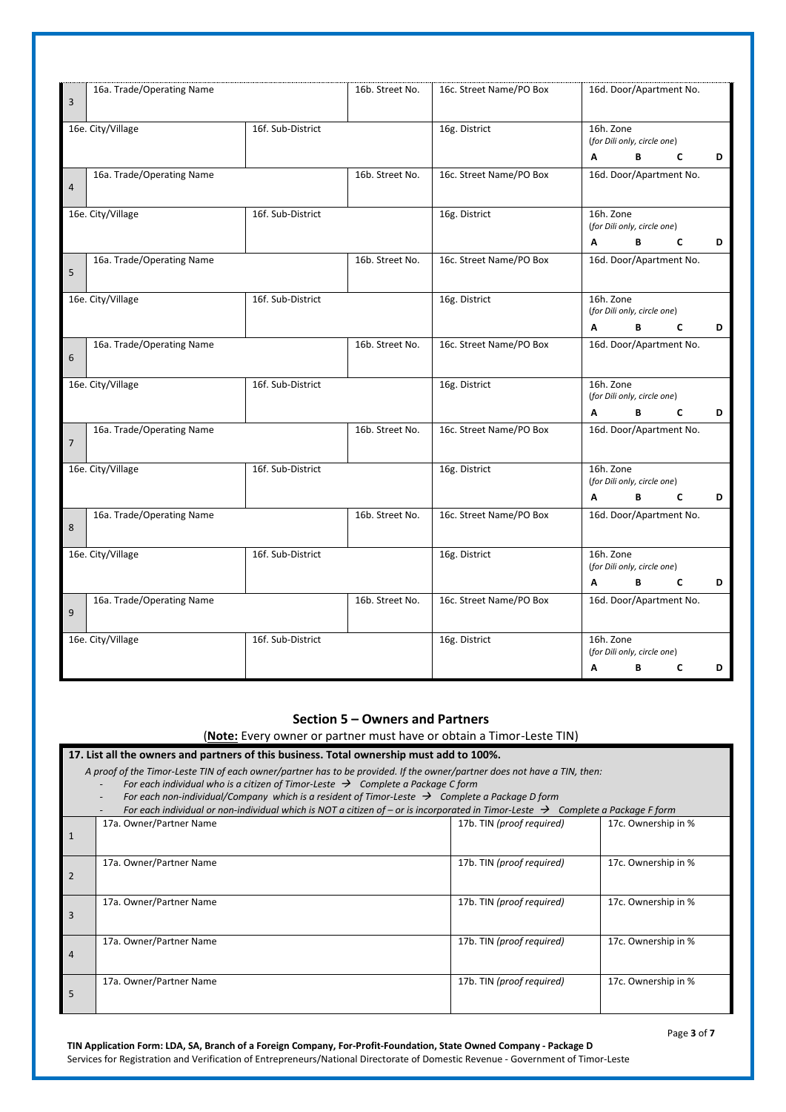| 16a. Trade/Operating Name                   | $\overline{3}$    |                 | 16c. Street Name/PO Box | 16d. Door/Apartment No. |                             |   |   |  |  |
|---------------------------------------------|-------------------|-----------------|-------------------------|-------------------------|-----------------------------|---|---|--|--|
|                                             |                   |                 |                         |                         |                             |   |   |  |  |
| 16e. City/Village                           | 16f. Sub-District |                 | 16g. District           | 16h. Zone               | (for Dili only, circle one) |   |   |  |  |
|                                             |                   |                 |                         | A                       | B                           | C | D |  |  |
| 16a. Trade/Operating Name<br>$\overline{4}$ |                   | 16b. Street No. | 16c. Street Name/PO Box |                         | 16d. Door/Apartment No.     |   |   |  |  |
| 16e. City/Village                           | 16f. Sub-District |                 | 16g. District           | 16h. Zone               | (for Dili only, circle one) |   |   |  |  |
|                                             |                   |                 |                         | A                       | B                           | C | D |  |  |
| 16a. Trade/Operating Name<br>5              |                   | 16b. Street No. | 16c. Street Name/PO Box |                         | 16d. Door/Apartment No.     |   |   |  |  |
| 16e. City/Village                           | 16f. Sub-District |                 | 16g. District           | 16h. Zone               | (for Dili only, circle one) |   |   |  |  |
|                                             |                   |                 |                         | A                       | В                           | C | D |  |  |
| 16a. Trade/Operating Name<br>6              |                   | 16b. Street No. | 16c. Street Name/PO Box |                         | 16d. Door/Apartment No.     |   |   |  |  |
| 16e. City/Village                           | 16f. Sub-District |                 | 16g. District           | 16h. Zone               | (for Dili only, circle one) |   |   |  |  |
|                                             |                   |                 |                         | A                       | В                           | C | D |  |  |
| 16a. Trade/Operating Name<br>$\overline{7}$ |                   | 16b. Street No. | 16c. Street Name/PO Box |                         | 16d. Door/Apartment No.     |   |   |  |  |
| 16e. City/Village                           | 16f. Sub-District |                 | 16g. District           | 16h. Zone               | (for Dili only, circle one) |   |   |  |  |
|                                             |                   |                 |                         | A                       | В                           | C | D |  |  |
| 16a. Trade/Operating Name<br>8              |                   | 16b. Street No. | 16c. Street Name/PO Box |                         | 16d. Door/Apartment No.     |   |   |  |  |
| 16e. City/Village                           | 16f. Sub-District |                 | 16g. District           | 16h. Zone               | (for Dili only, circle one) |   |   |  |  |
|                                             |                   |                 |                         | Α                       | В                           | C | D |  |  |
| 16a. Trade/Operating Name<br>9              |                   | 16b. Street No. | 16c. Street Name/PO Box |                         | 16d. Door/Apartment No.     |   |   |  |  |
| 16e. City/Village                           | 16f. Sub-District |                 | 16g. District           | 16h. Zone               | (for Dili only, circle one) |   |   |  |  |
|                                             |                   |                 |                         | Α                       | В                           | c | D |  |  |

### **Section 5 – Owners and Partners**

(**Note:** Every owner or partner must have or obtain a Timor-Leste TIN)

**17. List all the owners and partners of this business. Total ownership must add to 100%.**  *A proof of the Timor-Leste TIN of each owner/partner has to be provided. If the owner/partner does not have a TIN, then:* - *For each individual who is a citizen of Timor-Leste Complete a Package C form* - *For each non-individual/Company which is a resident of Timor-Leste Complete a Package D form For each individual or non-individual which is NOT a citizen of – or is incorporated in Timor-Leste → Complete a Package F form*<br>17a. Owner/Partner Name **and** *Participal in 1968* 17b. TIN (proof required) 17c. Ownership 1 17b. TIN (proof required) 2 17a. Owner/Partner Name 17b. TIN *(proof required)* 17c. Ownership in % 3 17a. Owner/Partner Name 17c. Ownership in % 4 17a. Owner/Partner Name 17b. TIN *(proof required)* 17c. Ownership in % 5 17a. Owner/Partner Name 17b. TIN *(proof required)* 17c. Ownership in %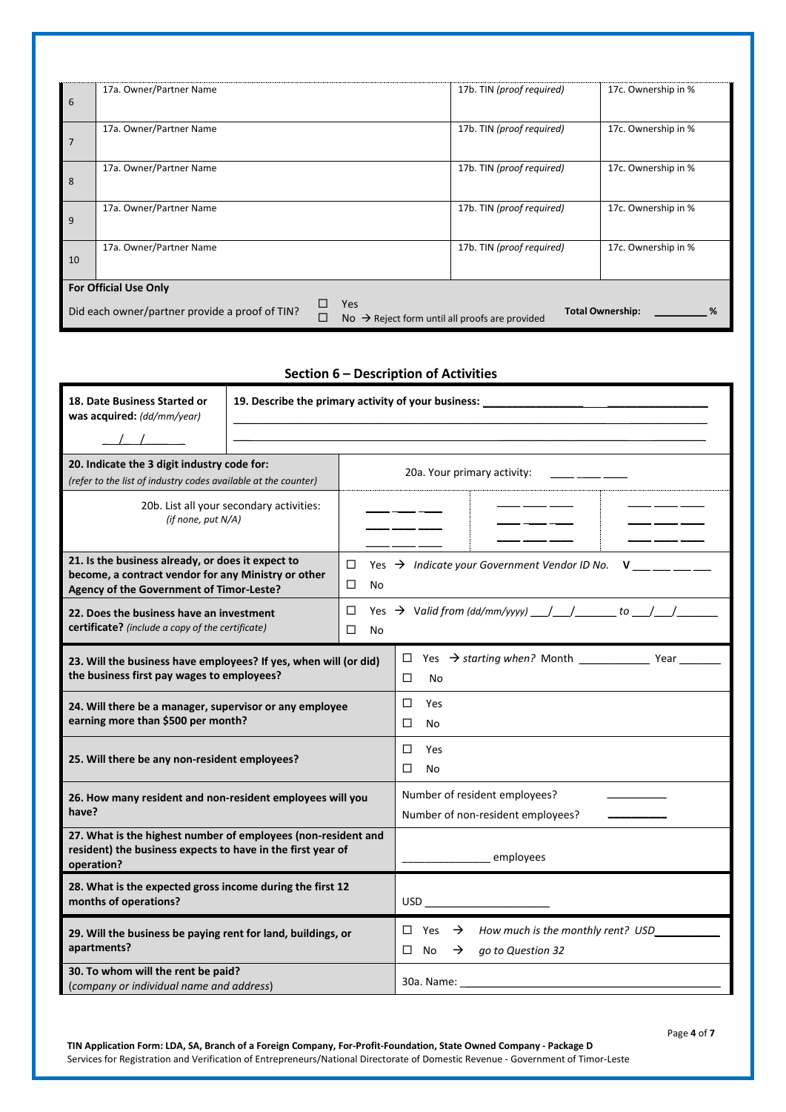| 6                                                                                                                                                   | 17a. Owner/Partner Name      |  | 17b. TIN (proof required) | 17c. Ownership in % |  |
|-----------------------------------------------------------------------------------------------------------------------------------------------------|------------------------------|--|---------------------------|---------------------|--|
| $\overline{7}$                                                                                                                                      | 17a. Owner/Partner Name      |  | 17b. TIN (proof required) | 17c. Ownership in % |  |
| 8                                                                                                                                                   | 17a. Owner/Partner Name      |  | 17b. TIN (proof required) | 17c. Ownership in % |  |
| 9                                                                                                                                                   | 17a. Owner/Partner Name      |  | 17b. TIN (proof required) | 17c. Ownership in % |  |
| 10                                                                                                                                                  | 17a. Owner/Partner Name      |  | 17b. TIN (proof required) | 17c. Ownership in % |  |
|                                                                                                                                                     | <b>For Official Use Only</b> |  |                           |                     |  |
| Yes<br>Did each owner/partner provide a proof of TIN?<br><b>Total Ownership:</b><br>℀<br>No $\rightarrow$ Reject form until all proofs are provided |                              |  |                           |                     |  |

| Section 6 - Description of Activities                                                                                                                |              |                                                                                                                                                                                                                                                                                                                                                              |  |  |  |
|------------------------------------------------------------------------------------------------------------------------------------------------------|--------------|--------------------------------------------------------------------------------------------------------------------------------------------------------------------------------------------------------------------------------------------------------------------------------------------------------------------------------------------------------------|--|--|--|
| 18. Date Business Started or<br>was acquired: (dd/mm/year)<br>$\left  \begin{array}{c} \end{array} \right $                                          |              | 19. Describe the primary activity of your business: ____________________________                                                                                                                                                                                                                                                                             |  |  |  |
| 20. Indicate the 3 digit industry code for:<br>(refer to the list of industry codes available at the counter)                                        |              | 20a. Your primary activity:                                                                                                                                                                                                                                                                                                                                  |  |  |  |
| 20b. List all your secondary activities:<br>(if none, put N/A)                                                                                       |              |                                                                                                                                                                                                                                                                                                                                                              |  |  |  |
| 21. Is the business already, or does it expect to<br>become, a contract vendor for any Ministry or other<br>Agency of the Government of Timor-Leste? | □<br>□<br>No | Yes $\rightarrow$ Indicate your Government Vendor ID No.<br>$\mathsf{V}$ and $\mathsf{V}$ and $\mathsf{V}$ and $\mathsf{V}$ and $\mathsf{V}$ and $\mathsf{V}$ and $\mathsf{V}$ and $\mathsf{V}$ and $\mathsf{V}$ and $\mathsf{V}$ and $\mathsf{V}$ and $\mathsf{V}$ and $\mathsf{V}$ and $\mathsf{V}$ and $\mathsf{V}$ and $\mathsf{V}$ and $\mathsf{V}$ and |  |  |  |
| 22. Does the business have an investment<br>certificate? (include a copy of the certificate)                                                         | □<br>□<br>No |                                                                                                                                                                                                                                                                                                                                                              |  |  |  |
| 23. Will the business have employees? If yes, when will (or did)<br>the business first pay wages to employees?                                       |              | □<br>No                                                                                                                                                                                                                                                                                                                                                      |  |  |  |
| 24. Will there be a manager, supervisor or any employee<br>earning more than \$500 per month?                                                        |              | □<br>Yes<br>□<br>No                                                                                                                                                                                                                                                                                                                                          |  |  |  |
| 25. Will there be any non-resident employees?                                                                                                        |              | □<br>Yes<br>□<br>No                                                                                                                                                                                                                                                                                                                                          |  |  |  |
| 26. How many resident and non-resident employees will you<br>have?                                                                                   |              | Number of resident employees?<br>Number of non-resident employees?                                                                                                                                                                                                                                                                                           |  |  |  |
| 27. What is the highest number of employees (non-resident and<br>resident) the business expects to have in the first year of<br>operation?           |              | employees                                                                                                                                                                                                                                                                                                                                                    |  |  |  |
| 28. What is the expected gross income during the first 12<br>months of operations?                                                                   |              | USD and the contract of the contract of the contract of the contract of the contract of the contract of the contract of the contract of the contract of the contract of the contract of the contract of the contract of the co                                                                                                                               |  |  |  |
| 29. Will the business be paying rent for land, buildings, or<br>apartments?                                                                          |              | $\square$ Yes<br>go to Question 32<br>□<br>No<br>$\rightarrow$                                                                                                                                                                                                                                                                                               |  |  |  |
| 30. To whom will the rent be paid?<br>(company or individual name and address)                                                                       |              | 30a. Name:                                                                                                                                                                                                                                                                                                                                                   |  |  |  |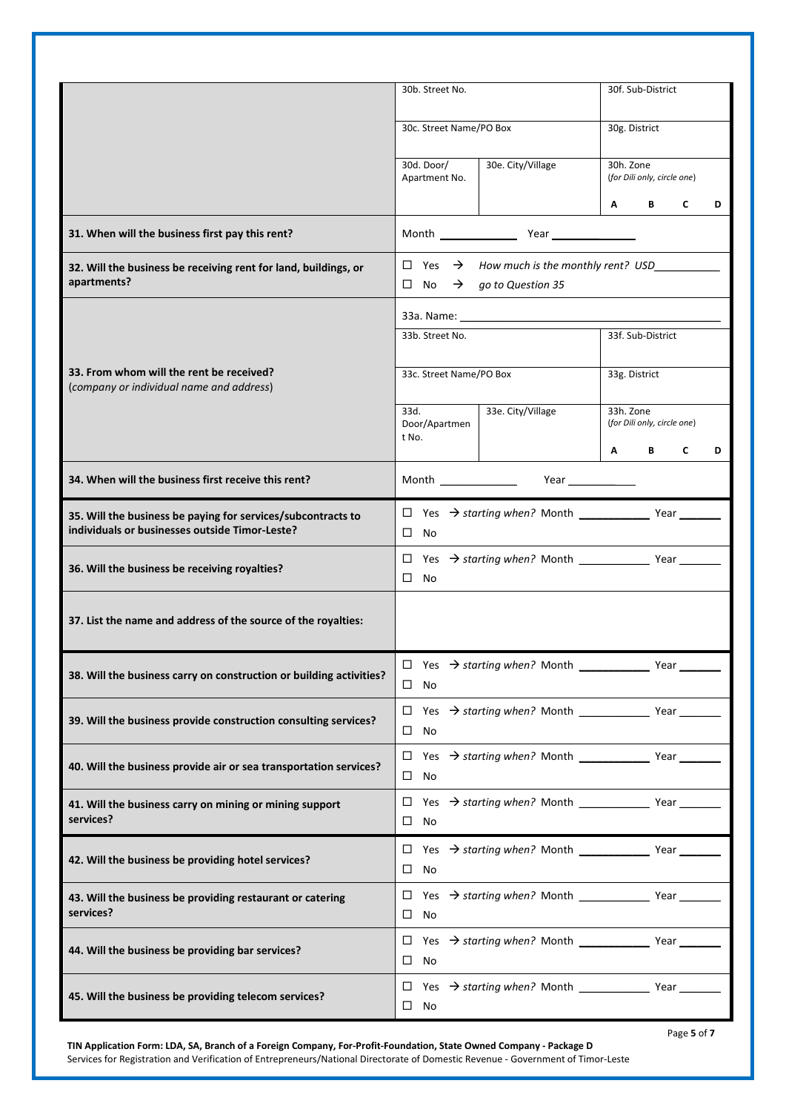|                                                                                                                | 30b. Street No.                                  |                                           |                                          | 30f. Sub-District |    |   |
|----------------------------------------------------------------------------------------------------------------|--------------------------------------------------|-------------------------------------------|------------------------------------------|-------------------|----|---|
|                                                                                                                | 30c. Street Name/PO Box                          |                                           | 30g. District                            |                   |    |   |
|                                                                                                                | 30e. City/Village<br>30d. Door/<br>Apartment No. |                                           | 30h. Zone<br>(for Dili only, circle one) |                   |    |   |
|                                                                                                                |                                                  |                                           | A                                        | B                 | C. | D |
| 31. When will the business first pay this rent?                                                                |                                                  | Month Year Year                           |                                          |                   |    |   |
| 32. Will the business be receiving rent for land, buildings, or<br>apartments?                                 |                                                  | $\Box$ No $\rightarrow$ go to Question 35 |                                          |                   |    |   |
|                                                                                                                |                                                  |                                           |                                          |                   |    |   |
|                                                                                                                | 33b. Street No.                                  |                                           |                                          | 33f. Sub-District |    |   |
| 33. From whom will the rent be received?<br>(company or individual name and address)                           | 33c. Street Name/PO Box                          |                                           | 33g. District                            |                   |    |   |
|                                                                                                                | 33d.<br>Door/Apartmen<br>t No.                   | 33e. City/Village                         | 33h. Zone<br>(for Dili only, circle one) |                   |    |   |
|                                                                                                                |                                                  |                                           | A                                        | B                 | C  | D |
| 34. When will the business first receive this rent?                                                            |                                                  | Year $\qquad \qquad$                      |                                          |                   |    |   |
| 35. Will the business be paying for services/subcontracts to<br>individuals or businesses outside Timor-Leste? | $\square$ No                                     |                                           |                                          |                   |    |   |
| 36. Will the business be receiving royalties?                                                                  | $\square$ No                                     |                                           |                                          |                   |    |   |
| 37. List the name and address of the source of the royalties:                                                  |                                                  |                                           |                                          |                   |    |   |
| 38. Will the business carry on construction or building activities?                                            | □<br>$\Box$<br>No                                |                                           |                                          |                   |    |   |
| 39. Will the business provide construction consulting services?                                                | $\Box$<br>No                                     |                                           |                                          |                   |    |   |
| 40. Will the business provide air or sea transportation services?                                              | $\square$ No                                     |                                           |                                          |                   |    |   |
| 41. Will the business carry on mining or mining support<br>services?                                           | $\Box$<br>No                                     |                                           |                                          |                   |    |   |
| 42. Will the business be providing hotel services?                                                             | □<br>No                                          |                                           |                                          |                   |    |   |
| 43. Will the business be providing restaurant or catering<br>services?                                         | □<br>No                                          |                                           |                                          |                   |    |   |
| 44. Will the business be providing bar services?                                                               | □<br>No                                          |                                           |                                          |                   |    |   |
| 45. Will the business be providing telecom services?                                                           | □<br>$\square$ No                                |                                           |                                          |                   |    |   |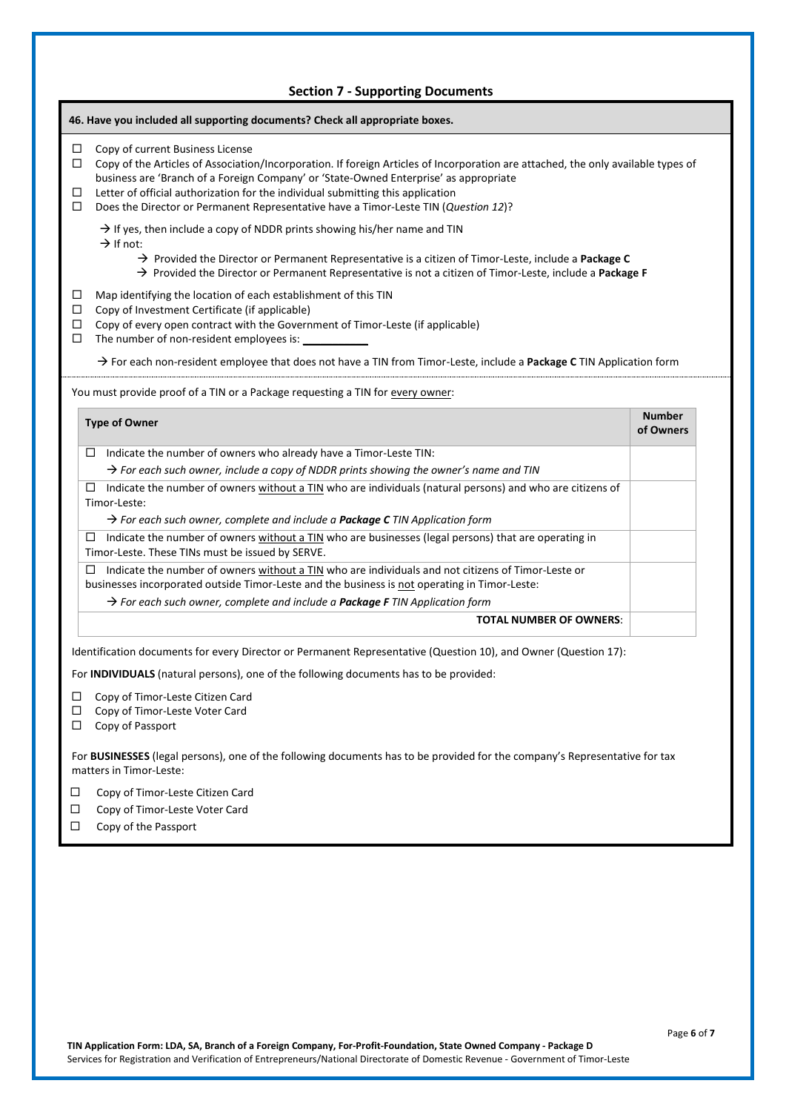| <b>Section 7 - Supporting Documents</b>                                                                                                                                                                                                                                                                                                                                                                                                                      |                            |
|--------------------------------------------------------------------------------------------------------------------------------------------------------------------------------------------------------------------------------------------------------------------------------------------------------------------------------------------------------------------------------------------------------------------------------------------------------------|----------------------------|
| 46. Have you included all supporting documents? Check all appropriate boxes.                                                                                                                                                                                                                                                                                                                                                                                 |                            |
| □<br>Copy of current Business License<br>□<br>Copy of the Articles of Association/Incorporation. If foreign Articles of Incorporation are attached, the only available types of<br>business are 'Branch of a Foreign Company' or 'State-Owned Enterprise' as appropriate<br>Letter of official authorization for the individual submitting this application<br>□<br>□<br>Does the Director or Permanent Representative have a Timor-Leste TIN (Question 12)? |                            |
| $\rightarrow$ If yes, then include a copy of NDDR prints showing his/her name and TIN<br>$\rightarrow$ If not:<br>→ Provided the Director or Permanent Representative is a citizen of Timor-Leste, include a Package C<br>→ Provided the Director or Permanent Representative is not a citizen of Timor-Leste, include a Package F                                                                                                                           |                            |
| □<br>Map identifying the location of each establishment of this TIN<br>$\Box$<br>Copy of Investment Certificate (if applicable)<br>$\Box$<br>Copy of every open contract with the Government of Timor-Leste (if applicable)<br>□<br>The number of non-resident employees is:                                                                                                                                                                                 |                            |
| → For each non-resident employee that does not have a TIN from Timor-Leste, include a Package C TIN Application form                                                                                                                                                                                                                                                                                                                                         |                            |
| You must provide proof of a TIN or a Package requesting a TIN for every owner:                                                                                                                                                                                                                                                                                                                                                                               |                            |
| <b>Type of Owner</b>                                                                                                                                                                                                                                                                                                                                                                                                                                         | <b>Number</b><br>of Owners |
| Indicate the number of owners who already have a Timor-Leste TIN:<br>⊔                                                                                                                                                                                                                                                                                                                                                                                       |                            |
| $\rightarrow$ For each such owner, include a copy of NDDR prints showing the owner's name and TIN                                                                                                                                                                                                                                                                                                                                                            |                            |
| $\Box$ Indicate the number of owners without a TIN who are individuals (natural persons) and who are citizens of<br>Timor-Leste:                                                                                                                                                                                                                                                                                                                             |                            |
| $\rightarrow$ For each such owner, complete and include a <b>Package C</b> TIN Application form                                                                                                                                                                                                                                                                                                                                                              |                            |
| Indicate the number of owners without a TIN who are businesses (legal persons) that are operating in<br>⊔<br>Timor-Leste. These TINs must be issued by SERVE.                                                                                                                                                                                                                                                                                                |                            |
| Indicate the number of owners without a TIN who are individuals and not citizens of Timor-Leste or<br>ப<br>businesses incorporated outside Timor-Leste and the business is not operating in Timor-Leste:<br>$\rightarrow$ For each such owner, complete and include a <b>Package F</b> TIN Application form                                                                                                                                                  |                            |
| <b>TOTAL NUMBER OF OWNERS:</b>                                                                                                                                                                                                                                                                                                                                                                                                                               |                            |
| Identification documents for every Director or Permanent Representative (Question 10), and Owner (Question 17):<br>For INDIVIDUALS (natural persons), one of the following documents has to be provided:<br>Copy of Timor-Leste Citizen Card<br>ப<br>Copy of Timor-Leste Voter Card<br>□                                                                                                                                                                     |                            |
| Copy of Passport<br>□                                                                                                                                                                                                                                                                                                                                                                                                                                        |                            |
| For BUSINESSES (legal persons), one of the following documents has to be provided for the company's Representative for tax<br>matters in Timor-Leste:                                                                                                                                                                                                                                                                                                        |                            |
| □<br>Copy of Timor-Leste Citizen Card                                                                                                                                                                                                                                                                                                                                                                                                                        |                            |
| Copy of Timor-Leste Voter Card<br>$\Box$                                                                                                                                                                                                                                                                                                                                                                                                                     |                            |
| Conv of the Paccoort<br>п.                                                                                                                                                                                                                                                                                                                                                                                                                                   |                            |

 $\Box$  Copy of the Passport